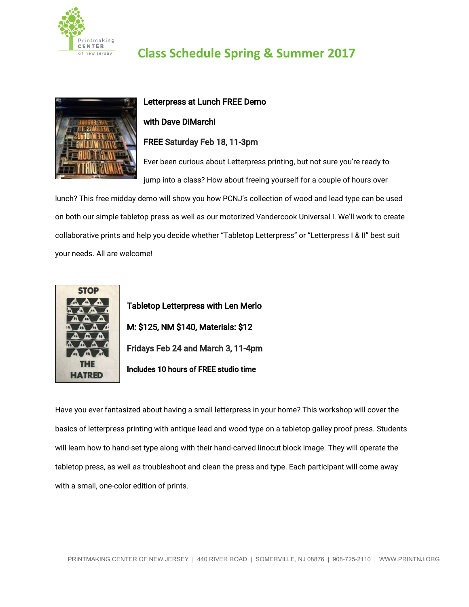

## **Class Schedule Spring & Summer 2017**



# Letterpress at Lunch FREE Demo

#### with Dave DiMarchi

#### FREE Saturday Feb 18, 11-3pm

Ever been curious about Letterpress printing, but not sure you're ready to jump into a class? How about freeing yourself for a couple of hours over

lunch? This free midday demo will show you how PCNJ's collection of wood and lead type can be used on both our simple tabletop press as well as our motorized Vandercook Universal I. We'll work to create collaborative prints and help you decide whether "Tabletop Letterpress" or "Letterpress I & II" best suit your needs. All are welcome!



Tabletop Letterpress with Len Merlo M: \$125, NM \$140, Materials: \$12 Fridays Feb 24 and March 3, 11-4pm Includes 10 hours of FREE studio time

Have you ever fantasized about having a small letterpress in your home? This workshop will cover the basics of letterpress printing with antique lead and wood type on a tabletop galley proof press. Students will learn how to hand-set type along with their hand-carved linocut block image. They will operate the tabletop press, as well as troubleshoot and clean the press and type. Each participant will come away with a small, one-color edition of prints.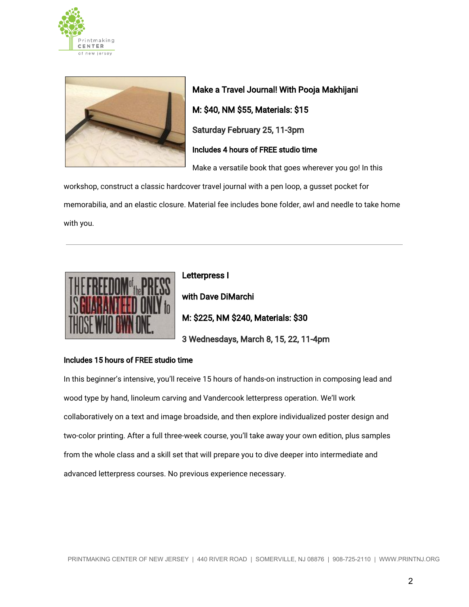



Make a Travel Journal! With Pooja Makhijani M: \$40, NM \$55, Materials: \$15 Saturday February 25, 11-3pm Includes 4 hours of FREE studio time Make a versatile book that goes wherever you go! In this

workshop, construct a classic hardcover travel journal with a pen loop, a gusset pocket for memorabilia, and an elastic closure. Material fee includes bone folder, awl and needle to take home with you.



Letterpress I with Dave DiMarchi M: \$225, NM \$240, Materials: \$30 3 Wednesdays, March 8, 15, 22, 11-4pm

#### Includes 15 hours of FREE studio time

In this beginner's intensive, you'll receive 15 hours of hands-on instruction in composing lead and wood type by hand, linoleum carving and Vandercook letterpress operation. We'll work collaboratively on a text and image broadside, and then explore individualized poster design and two-color printing. After a full three-week course, you'll take away your own edition, plus samples from the whole class and a skill set that will prepare you to dive deeper into intermediate and advanced letterpress courses. No previous experience necessary.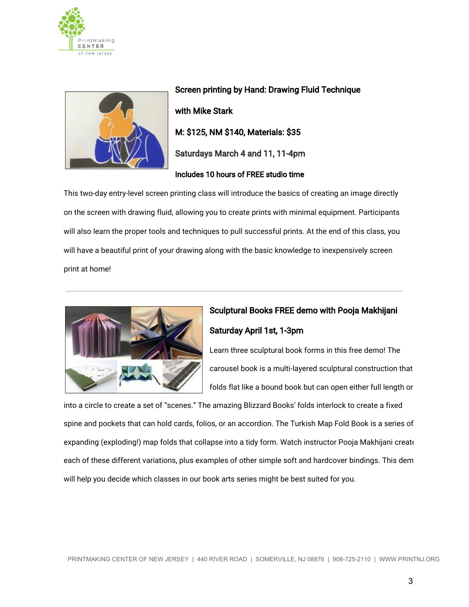



Screen printing by Hand: Drawing Fluid Technique with Mike Stark M: \$125, NM \$140, Materials: \$35 Saturdays March 4 and 11, 11-4pm Includes 10 hours of FREE studio time

This two-day entry-level screen printing class will introduce the basics of creating an image directly on the screen with drawing fluid, allowing you to create prints with minimal equipment. Participants will also learn the proper tools and techniques to pull successful prints. At the end of this class, you will have a beautiful print of your drawing along with the basic knowledge to inexpensively screen print at home!



## Sculptural Books FREE demo with Pooja Makhijani Saturday April 1st, 1-3pm

Learn three sculptural book forms in this free demo! The carousel book is a multi-layered sculptural construction that folds flat like a bound book but can open either full length or

into a circle to create a set of "scenes." The amazing Blizzard Books' folds interlock to create a fixed spine and pockets that can hold cards, folios, or an accordion. The Turkish Map Fold Book is a series of expanding (exploding!) map folds that collapse into a tidy form. Watch instructor Pooja Makhijani create each of these different variations, plus examples of other simple soft and hardcover bindings. This dem will help you decide which classes in our book arts series might be best suited for you.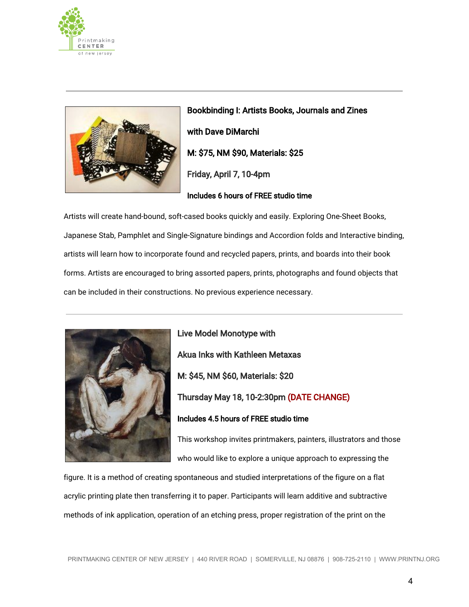



Bookbinding I: Artists Books, Journals and Zines with Dave DiMarchi M: \$75, NM \$90, Materials: \$25 Friday, April 7, 10-4pm Includes 6 hours of FREE studio time

Artists will create hand-bound, soft-cased books quickly and easily. Exploring One-Sheet Books, Japanese Stab, Pamphlet and Single-Signature bindings and Accordion folds and Interactive binding, artists will learn how to incorporate found and recycled papers, prints, and boards into their book forms. Artists are encouraged to bring assorted papers, prints, photographs and found objects that can be included in their constructions. No previous experience necessary.



Live Model Monotype with Akua Inks with Kathleen Metaxas M: \$45, NM \$60, Materials: \$20 Thursday May 18, 10-2:30pm (DATE CHANGE) Includes 4.5 hours of FREE studio time

This workshop invites printmakers, painters, illustrators and those who would like to explore a unique approach to expressing the

figure. It is a method of creating spontaneous and studied interpretations of the figure on a flat acrylic printing plate then transferring it to paper. Participants will learn additive and subtractive methods of ink application, operation of an etching press, proper registration of the print on the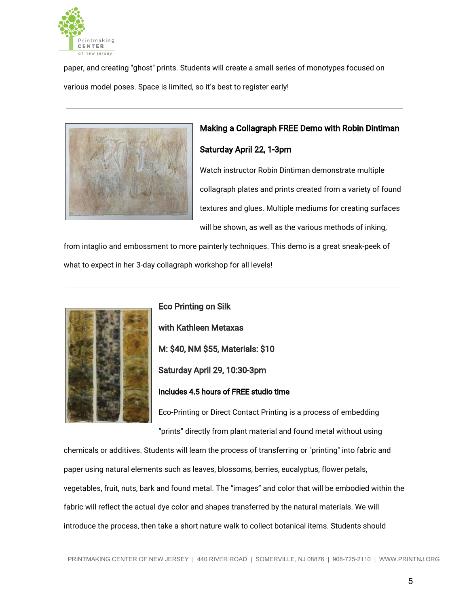

paper, and creating "ghost" prints. Students will create a small series of monotypes focused on various model poses. Space is limited, so it's best to register early!



# Making a Collagraph FREE Demo with Robin Dintiman

#### Saturday April 22, 1-3pm

Watch instructor Robin Dintiman demonstrate multiple collagraph plates and prints created from a variety of found textures and glues. Multiple mediums for creating surfaces will be shown, as well as the various methods of inking,

from intaglio and embossment to more painterly techniques. This demo is a great sneak-peek of what to expect in her 3-day collagraph workshop for all levels!



Eco Printing on Silk with Kathleen Metaxas M: \$40, NM \$55, Materials: \$10 Saturday April 29, 10:30-3pm Includes 4.5 hours of FREE studio time

Eco-Printing or Direct Contact Printing is a process of embedding "prints" directly from plant material and found metal without using

chemicals or additives. Students will learn the process of transferring or "printing" into fabric and paper using natural elements such as leaves, blossoms, berries, eucalyptus, flower petals, vegetables, fruit, nuts, bark and found metal. The "images" and color that will be embodied within the fabric will reflect the actual dye color and shapes transferred by the natural materials. We will introduce the process, then take a short nature walk to collect botanical items. Students should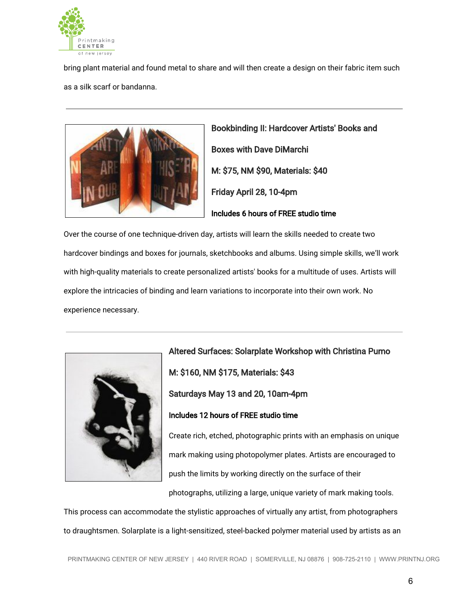

bring plant material and found metal to share and will then create a design on their fabric item such as a silk scarf or bandanna.



Bookbinding II: Hardcover Artists' Books and Boxes with Dave DiMarchi M: \$75, NM \$90, Materials: \$40 Friday April 28, 10-4pm Includes 6 hours of FREE studio time

Over the course of one technique-driven day, artists will learn the skills needed to create two hardcover bindings and boxes for journals, sketchbooks and albums. Using simple skills, we'll work with high-quality materials to create personalized artists' books for a multitude of uses. Artists will explore the intricacies of binding and learn variations to incorporate into their own work. No experience necessary.



Altered Surfaces: Solarplate Workshop with Christina Pumo M: \$160, NM \$175, Materials: \$43 Saturdays May 13 and 20, 10am-4pm Includes 12 hours of FREE studio time Create rich, etched, photographic prints with an emphasis on unique mark making using photopolymer plates. Artists are encouraged to push the limits by working directly on the surface of their

photographs, utilizing a large, unique variety of mark making tools.

This process can accommodate the stylistic approaches of virtually any artist, from photographers to draughtsmen. Solarplate is a light-sensitized, steel-backed polymer material used by artists as an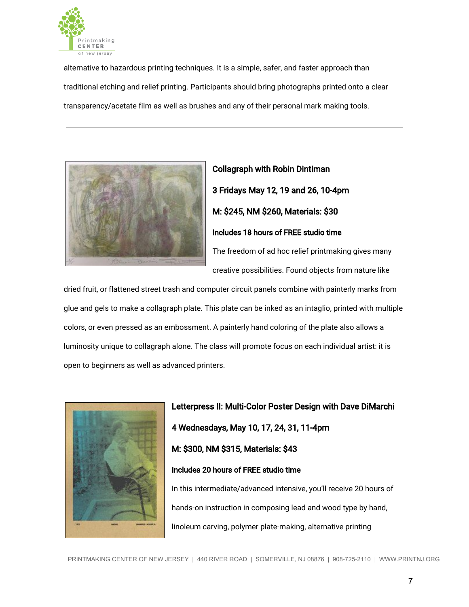

alternative to hazardous printing techniques. It is a simple, safer, and faster approach than traditional etching and relief printing. Participants should bring photographs printed onto a clear transparency/acetate film as well as brushes and any of their personal mark making tools.



# Collagraph with Robin Dintiman 3 Fridays May 12, 19 and 26, 10-4pm M: \$245, NM \$260, Materials: \$30 Includes 18 hours of FREE studio time The freedom of ad hoc relief printmaking gives many creative possibilities. Found objects from nature like

dried fruit, or flattened street trash and computer circuit panels combine with painterly marks from glue and gels to make a collagraph plate. This plate can be inked as an intaglio, printed with multiple colors, or even pressed as an embossment. A painterly hand coloring of the plate also allows a luminosity unique to collagraph alone. The class will promote focus on each individual artist: it is open to beginners as well as advanced printers.



Letterpress II: Multi-Color Poster Design with Dave DiMarchi 4 Wednesdays, May 10, 17, 24, 31, 11-4pm M: \$300, NM \$315, Materials: \$43 Includes 20 hours of FREE studio time In this intermediate/advanced intensive, you'll receive 20 hours of hands-on instruction in composing lead and wood type by hand,

linoleum carving, polymer plate-making, alternative printing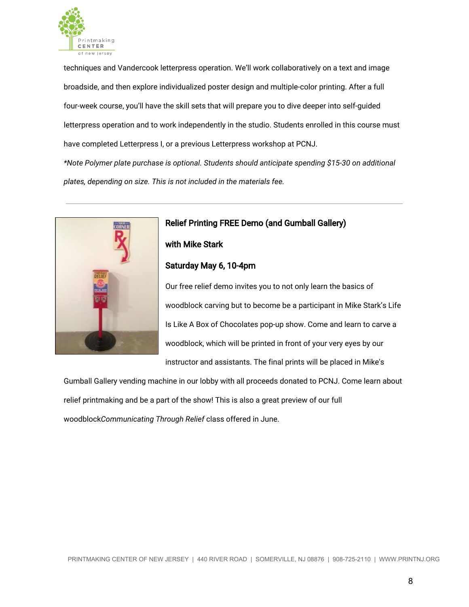

techniques and Vandercook letterpress operation. We'll work collaboratively on a text and image broadside, and then explore individualized poster design and multiple-color printing. After a full four-week course, you'll have the skill sets that will prepare you to dive deeper into self-guided letterpress operation and to work independently in the studio. Students enrolled in this course must have completed Letterpress I, or a previous Letterpress workshop at PCNJ. *\*Note Polymer plate purchase is optional. Students should anticipate spending \$15-30 on additional*

*plates, depending on size. This is not included in the materials fee.*



### Relief Printing FREE Demo (and Gumball Gallery)

with Mike Stark

#### Saturday May 6, 10-4pm

Our free relief demo invites you to not only learn the basics of woodblock carving but to become be a participant in Mike Stark's Life Is Like A Box of Chocolates pop-up show. Come and learn to carve a woodblock, which will be printed in front of your very eyes by our instructor and assistants. The final prints will be placed in Mike's

Gumball Gallery vending machine in our lobby with all proceeds donated to PCNJ. Come learn about relief printmaking and be a part of the show! This is also a great preview of our full woodblock*Communicating Through Relief* class offered in June.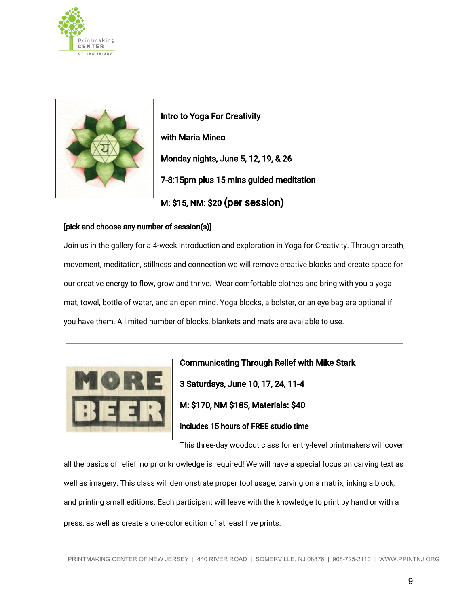



Intro to Yoga For Creativity with Maria Mineo Monday nights, June 5, 12, 19, & 26 7-8:15pm plus 15 mins guided meditation M: \$15, NM: \$20 (per session)

#### [pick and choose any number of session(s)]

Join us in the gallery for a 4-week introduction and exploration in Yoga for Creativity. Through breath, movement, meditation, stillness and connection we will remove creative blocks and create space for our creative energy to flow, grow and thrive. Wear comfortable clothes and bring with you a yoga mat, towel, bottle of water, and an open mind. Yoga blocks, a bolster, or an eye bag are optional if you have them. A limited number of blocks, blankets and mats are available to use.



Communicating Through Relief with Mike Stark 3 Saturdays, June 10, 17, 24, 11-4 M: \$170, NM \$185, Materials: \$40 Includes 15 hours of FREE studio time

This three-day woodcut class for entry-level printmakers will cover

all the basics of relief; no prior knowledge is required! We will have a special focus on carving text as well as imagery. This class will demonstrate proper tool usage, carving on a matrix, inking a block, and printing small editions. Each participant will leave with the knowledge to print by hand or with a press, as well as create a one-color edition of at least five prints.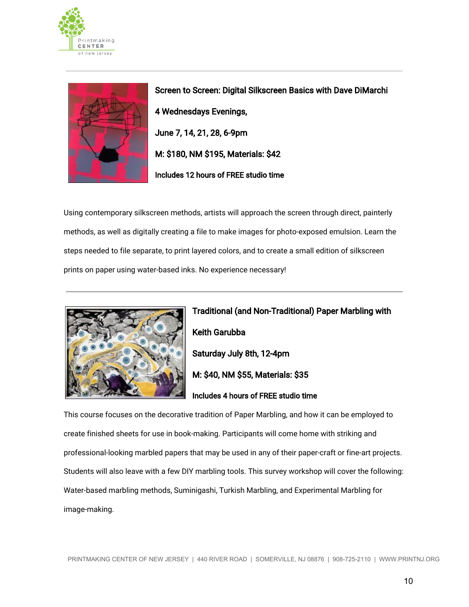



Screen to Screen: Digital Silkscreen Basics with Dave DiMarchi 4 Wednesdays Evenings, June 7, 14, 21, 28, 6-9pm M: \$180, NM \$195, Materials: \$42 Includes 12 hours of FREE studio time

Using contemporary silkscreen methods, artists will approach the screen through direct, painterly methods, as well as digitally creating a file to make images for photo-exposed emulsion. Learn the steps needed to file separate, to print layered colors, and to create a small edition of silkscreen prints on paper using water-based inks. No experience necessary!



Traditional (and Non-Traditional) Paper Marbling with Keith Garubba Saturday July 8th, 12-4pm M: \$40, NM \$55, Materials: \$35 Includes 4 hours of FREE studio time

This course focuses on the decorative tradition of Paper Marbling, and how it can be employed to create finished sheets for use in book-making. Participants will come home with striking and professional-looking marbled papers that may be used in any of their paper-craft or fine-art projects. Students will also leave with a few DIY marbling tools. This survey workshop will cover the following: Water-based marbling methods, Suminigashi, Turkish Marbling, and Experimental Marbling for image-making.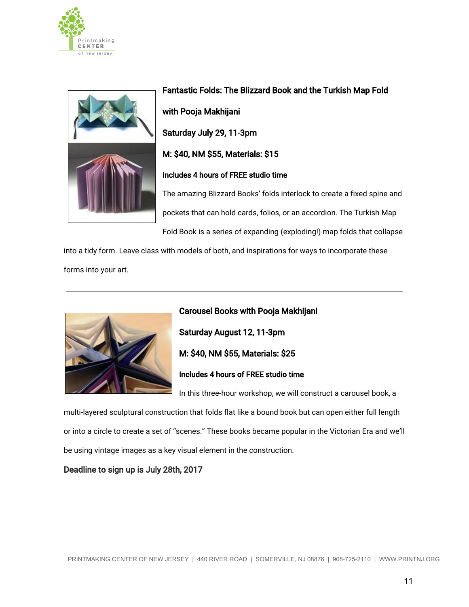



Fantastic Folds: The Blizzard Book and the Turkish Map Fold with Pooja Makhijani Saturday July 29, 11-3pm M: \$40, NM \$55, Materials: \$15 Includes 4 hours of FREE studio time The amazing Blizzard Books' folds interlock to create a fixed spine and pockets that can hold cards, folios, or an accordion. The Turkish Map

Fold Book is a series of expanding (exploding!) map folds that collapse

into a tidy form. Leave class with models of both, and inspirations for ways to incorporate these forms into your art.



Carousel Books with Pooja Makhijani Saturday August 12, 11-3pm M: \$40, NM \$55, Materials: \$25 Includes 4 hours of FREE studio time

In this three-hour workshop, we will construct a carousel book, a

multi-layered sculptural construction that folds flat like a bound book but can open either full length or into a circle to create a set of "scenes." These books became popular in the Victorian Era and we'll be using vintage images as a key visual element in the construction.

#### Deadline to sign up is July 28th, 2017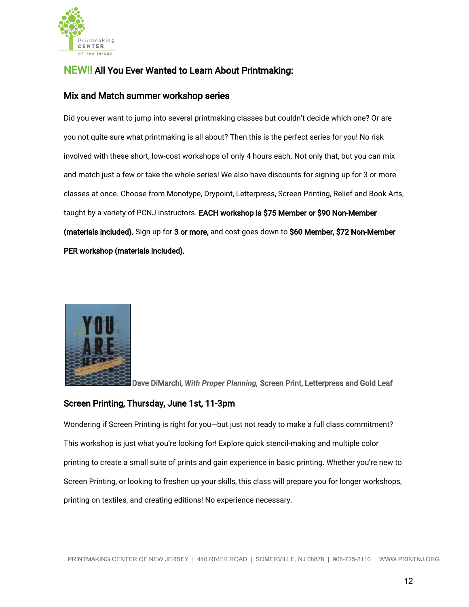

## NEW!! All You Ever Wanted to Learn About Printmaking:

#### Mix and Match summer workshop series

Did you ever want to jump into several printmaking classes but couldn't decide which one? Or are you not quite sure what printmaking is all about? Then this is the perfect series for you! No risk involved with these short, low-cost workshops of only 4 hours each. Not only that, but you can mix and match just a few or take the whole series! We also have discounts for signing up for 3 or more classes at once. Choose from Monotype, Drypoint, Letterpress, Screen Printing, Relief and Book Arts, taught by a variety of PCNJ instructors. EACH workshop is \$75 Member or \$90 Non-Member (materials included). Sign up for 3 or more, and cost goes down to \$60 Member, \$72 Non-Member PER workshop (materials included).



Dave DiMarchi, *With Proper Planning,* Screen Print, Letterpress and Gold Leaf

#### Screen Printing, Thursday, June 1st, 11-3pm

Wondering if Screen Printing is right for you—but just not ready to make a full class commitment? This workshop is just what you're looking for! Explore quick stencil-making and multiple color printing to create a small suite of prints and gain experience in basic printing. Whether you're new to Screen Printing, or looking to freshen up your skills, this class will prepare you for longer workshops, printing on textiles, and creating editions! No experience necessary.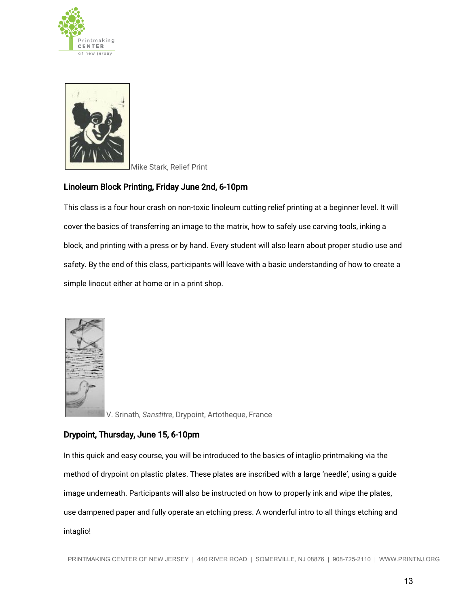



Mike Stark, Relief Print

#### Linoleum Block Printing, Friday June 2nd, 6-10pm

This class is a four hour crash on non-toxic linoleum cutting relief printing at a beginner level. It will cover the basics of transferring an image to the matrix, how to safely use carving tools, inking a block, and printing with a press or by hand. Every student will also learn about proper studio use and safety. By the end of this class, participants will leave with a basic understanding of how to create a simple linocut either at home or in a print shop.



V. Srinath, *Sanstitre*, Drypoint, Artotheque, France

#### Drypoint, Thursday, June 15, 6-10pm

In this quick and easy course, you will be introduced to the basics of intaglio printmaking via the method of drypoint on plastic plates. These plates are inscribed with a large 'needle', using a guide image underneath. Participants will also be instructed on how to properly ink and wipe the plates, use dampened paper and fully operate an etching press. A wonderful intro to all things etching and intaglio!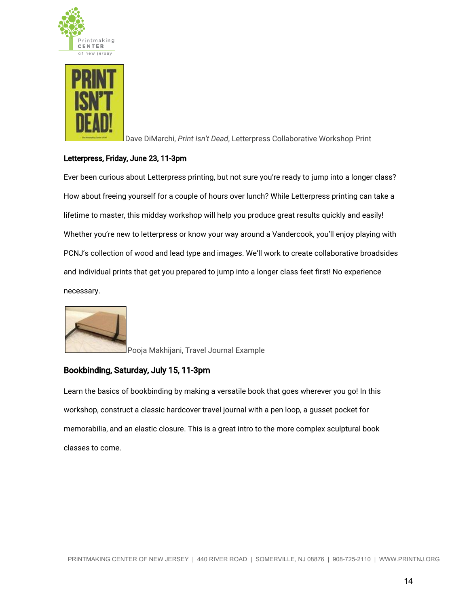



Dave DiMarchi, *Print Isn't Dead*, Letterpress Collaborative Workshop Print

#### Letterpress, Friday, June 23, 11-3pm

Ever been curious about Letterpress printing, but not sure you're ready to jump into a longer class? How about freeing yourself for a couple of hours over lunch? While Letterpress printing can take a lifetime to master, this midday workshop will help you produce great results quickly and easily! Whether you're new to letterpress or know your way around a Vandercook, you'll enjoy playing with PCNJ's collection of wood and lead type and images. We'll work to create collaborative broadsides and individual prints that get you prepared to jump into a longer class feet first! No experience necessary.



Pooja Makhijani, Travel Journal Example

### Bookbinding, Saturday, July 15, 11-3pm

Learn the basics of bookbinding by making a versatile book that goes wherever you go! In this workshop, construct a classic hardcover travel journal with a pen loop, a gusset pocket for memorabilia, and an elastic closure. This is a great intro to the more complex sculptural book classes to come.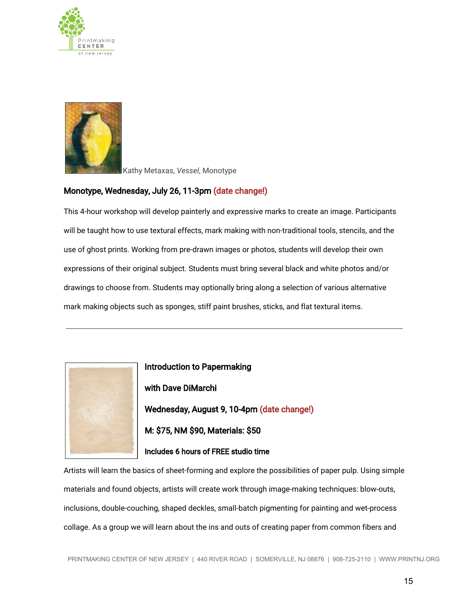



Kathy Metaxas, *Vessel*, Monotype

#### Monotype, Wednesday, July 26, 11-3pm (date change!)

This 4-hour workshop will develop painterly and expressive marks to create an image. Participants will be taught how to use textural effects, mark making with non-traditional tools, stencils, and the use of ghost prints. Working from pre-drawn images or photos, students will develop their own expressions of their original subject. Students must bring several black and white photos and/or drawings to choose from. Students may optionally bring along a selection of various alternative mark making objects such as sponges, stiff paint brushes, sticks, and flat textural items.



Introduction to Papermaking with Dave DiMarchi Wednesday, August 9, 10-4pm (date change!) M: \$75, NM \$90, Materials: \$50 Includes 6 hours of FREE studio time

Artists will learn the basics of sheet-forming and explore the possibilities of paper pulp. Using simple materials and found objects, artists will create work through image-making techniques: blow-outs, inclusions, double-couching, shaped deckles, small-batch pigmenting for painting and wet-process collage. As a group we will learn about the ins and outs of creating paper from common fibers and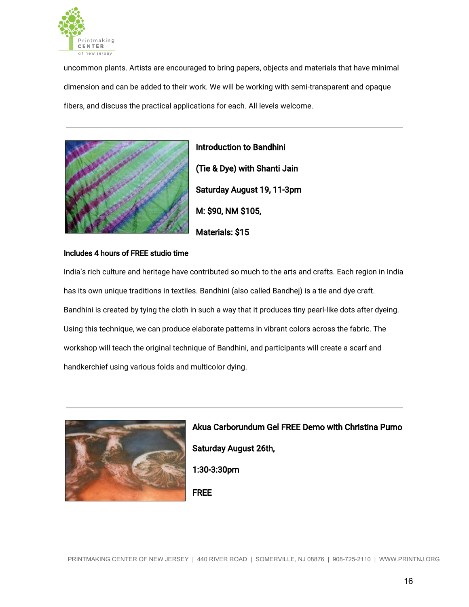

uncommon plants. Artists are encouraged to bring papers, objects and materials that have minimal dimension and can be added to their work. We will be working with semi-transparent and opaque fibers, and discuss the practical applications for each. All levels welcome.



Introduction to Bandhini (Tie & Dye) with Shanti Jain Saturday August 19, 11-3pm M: \$90, NM \$105, Materials: \$15

#### Includes 4 hours of FREE studio time

India's rich culture and heritage have contributed so much to the arts and crafts. Each region in India has its own unique traditions in textiles. Bandhini (also called Bandhej) is a tie and dye craft. Bandhini is created by tying the cloth in such a way that it produces tiny pearl-like dots after dyeing. Using this technique, we can produce elaborate patterns in vibrant colors across the fabric. The workshop will teach the original technique of Bandhini, and participants will create a scarf and handkerchief using various folds and multicolor dying.



Akua Carborundum Gel FREE Demo with Christina Pumo Saturday August 26th, 1:30-3:30pm

FREE